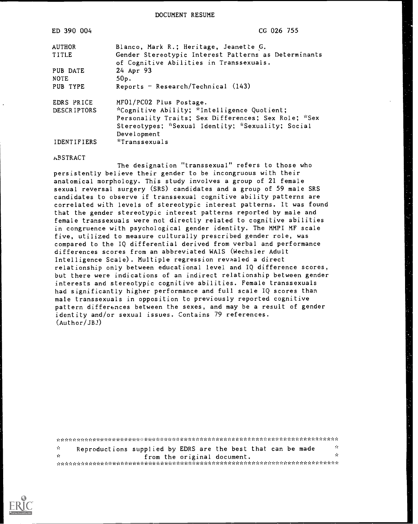DOCUMENT RESUME

| ED 390 004         | CG 026 755                                           |
|--------------------|------------------------------------------------------|
| <b>AUTHOR</b>      | Blanco, Mark R.; Heritage, Jeanette G.               |
| TITLE              | Gender Stereotypic Interest Patterns as Determinants |
|                    | of Cognitive Abilities in Transsexuals.              |
| PUB DATE           | 24 Apr 93                                            |
| <b>NOTE</b>        | $50p$ .                                              |
| PUB TYPE           | Reports $-$ Research/Technical $(143)$               |
| EDRS PRICE         | MF01/PC02 Plus Postage.                              |
| <b>DESCRIPTORS</b> | *Cognitive Ability; *Intelligence Quotient;          |
|                    | Personality Traits; Sex Differences; Sex Role; *Sex  |
|                    | Stereotypes; *Sexual Identity; *Sexuality; Social    |
|                    | Development                                          |
| IDENTIFIERS        | <i>i</i> Transsexuals                                |

#### **ABSTRACT**

The designation "transsexual" refers to those who persistently believe their gender to be incongruous with their anatomical morphology. This study involves a group of 21 female sexual reversal surgery (SRS) candidates and a group of 59 male SRS candidates to observe if transsexual cognitive ability patterns are correlated with levels of stereotypic interest patterns. It was found that the gender stereotypic interest patterns reported by male and female transsexuals were not directly related to cognitive abilities in congruence with psychological gender identity. The MMPI MF scale five, utilized to measure culturally prescribed gender role, was compared to the IQ differential derived from verbal and performance differences scores from an abbreviated WAIS (Wechsler Adult Intelligence Scale). Multiple regression revaaled a direct relationship only between educational level and IQ difference scores, but there were indications of an indirect relationship between gender interests and stereotypic cognitive abilities. Female transsexuals had significantly higher performance and full scale IQ scores than male transsexuals in opposition to previously reported cognitive pattern differences between the sexes, and may be a result of gender identity and/or sexual issues. Contains 79 references. (Author/JBJ)

| ÷.  | Reproductions supplied by EDRS are the best that can be made | - 70 |
|-----|--------------------------------------------------------------|------|
| -sk | from the original document.                                  | Ж.   |
|     |                                                              |      |

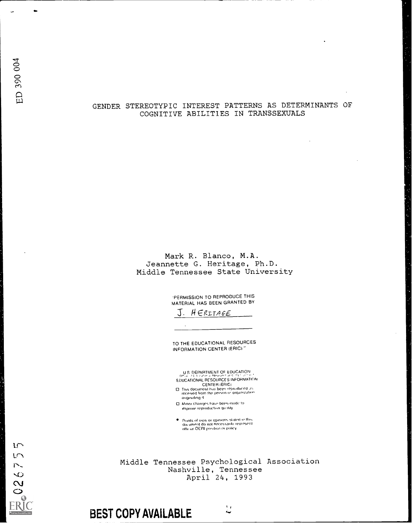$15$  $LT$  $\mathbb{N}$  $\overline{6}$  $\sim$  $\circ$ 

**Ireland Contract Contract Contract** 

#### GENDER STEREOTYPIC INTEREST PATTERNS AS DETERMINANTS OF COGNITIVE ABILITIES IN TRANSSEXUALS

#### Mark R. Blanco, M.A. Jeannette G. Heritage, Ph.D. Middle Tennessee State University

'PERMISSION TO REPRODUCE THIS MATERIAL HAS BEEN GRANTED BY

 $J.$  HERITAGE

TO THE EDUCATIONAL RESOURCES INFORMATION CENTER (ERIC)"

U S DEPARTMENT OF EDUCATION EDUCATIONAL RESOURCES INFORMATIDN

CENTER (ERIC)<br>@ This document has been reproduced as<br>received from the person of organization originoting

- $\square$  Minor changes have been made to improve reproduction quality
- Points of view or opinions stated in this<br>document do not necessarily represent<br>official OERI position er policy

Middle Tennessee Psychological Association Nashville, Tennessee April 24, 1993

## BEST COPY AVAILABLE

 $\mathcal{L}^{\prime}$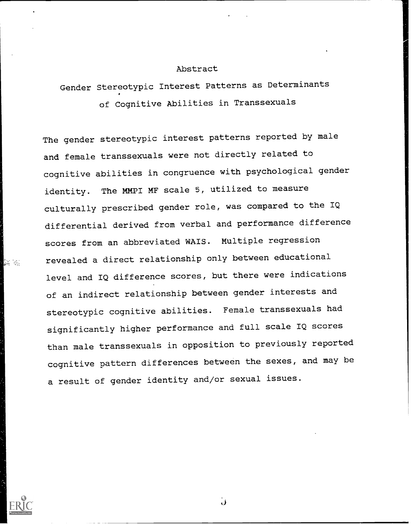#### Abstract

# Gender Stereotypic Interest Patterns as Determinants of Cognitive Abilities in Transsexuals

The gender stereotypic interest patterns reported by male and female transsexuals were not directly related to cognitive abilities in congruence with psychological gender identity. The MMPI MF scale 5, utilized to measure culturally prescribed gender role, was compared to the IQ differential derived from verbal and performance difference scores from an abbreviated WAIS. Multiple regression revealed a direct relationship only between educational level and IQ difference scores, but there were indications of an indirect relationship between gender interests and stereotypic cognitive abilities. Female transsexuals had significantly higher performance and full scale IQ scores than male transsexuals in opposition to previously reported cognitive pattern differences between the sexes, and may be a result of gender identity and/or sexual issues.



is s

ن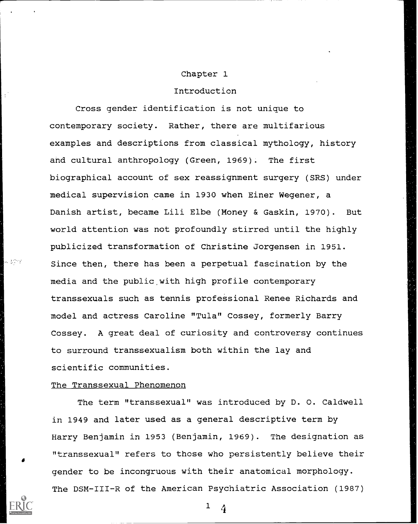#### Chapter 1

#### Introduction

Cross gender identification is not unique to contemporary society. Rather, there are multifarious examples and descriptions from classical mythology, history and cultural anthropology (Green, 1969). The first biographical account of sex reassignment surgery (SRS) under medical supervision came in 1930 when Einer Wegener, a Danish artist, became Lili Elbe (Money & Gaskin, 1970). But world attention was not profoundly stirred until the highly publicized transformation of Christine Jorgensen in 1951. Since then, there has been a perpetual fascination by the media and the public,with high profile contemporary transsexuals such as tennis professional Renee Richards and model and actress Caroline "Tula" Cossey, formerly Barry Cossey. A great deal of curiosity and controversy continues to surround transsexualism both within the lay and scientific communities.

#### The Transsexual Phenomenon

The term "transsexual" was introduced by D. 0. Caldwell in 1949 and later used as a general descriptive term by Harry Benjamin in 1953 (Benjamin, 1969). The designation as "transsexual" refers to those who persistently believe their gender to be incongruous with their anatomical morphology. The DSM-III-R of the American Psychiatric Association (1987)

 $1 \quad 4$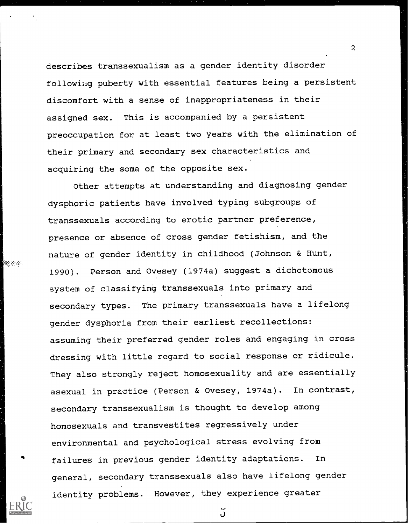describes transsexualism as a gender identity disorder following puberty with essential features being a persistent discomfort with a sense of inappropriateness in their assigned sex. This is accompanied by a persistent preoccupation for at least two years with the elimination of their primary and secondary sex characteristics and acquiring the soma of the opposite sex.

Other attempts at understanding and diagnosing gender dysphoric patients have involved typing subgroups of transsexuals according to erotic partner preference, presence or absence of cross gender fetishism, and the nature of gender identity in childhood (Johnson & Hunt, 1990). Person and Ovesey (1974a) suggest a dichotomous system of classifying transsexuals into primary and secondary types. The primary transsexuals have a lifelong gender dysphoria from their earliest recollections: assuming their preferred gender roles and engaging in cross dressing with little regard to social response or ridicule. They also strongly reject homosexuality and are essentially asexual in practice (Person & Ovesey, 1974a). In contrast, secondary transsexualism is thought to develop among homosexuals and transvestites regressively under environmental and psychological stress evolving from failures in previous gender identity adaptations. In general, secondary transsexuals also have lifelong gender identity problems. However, they experience greater

5

**Magazia**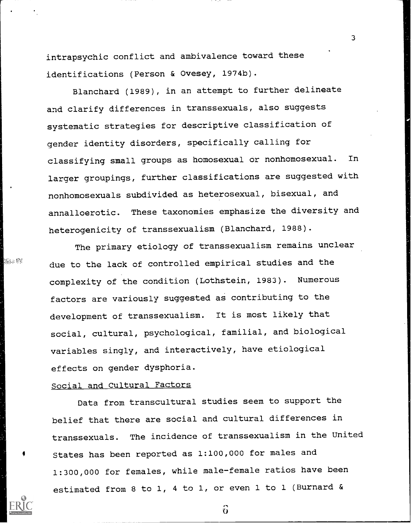intrapsychic conflict and ambivalence toward these identifications (Person & Ovesey, 1974b).

Blanchard (1989), in an attempt to further delineate and clarify differences in transsexuals, also suggests systematic strategies for descriptive classification of gender identity disorders, specifically calling for classifying small groups as homosexual or nonhomosexual. In larger groupings, further classifications are suggested with nonhomosexuals subdivided as heterosexual, bisexual, and annalloerotic. These taxonomies emphasize the diversity and heterogenicity of transsexualism (Blanchard, 1988).

3

The primary etiology of transsexualism remains unclear due to the lack of controlled empirical studies and the complexity of the condition (Lothstein, 1983). Numerous factors are variously suggested as contributing to the development of transsexualism. It is most likely that social, cultural, psychological, familial, and biological variables singly, and interactively, have etiological effects on gender dysphoria.

#### Social and Cultural Factors

38. Pk

Data from transcultural studies seem to support the belief that there are social and cultural differences in transsexuals. The incidence of transsexualism in the United States has been reported as 1:100,000 for males and 1:300,000 for females, while male-female ratios have been estimated from 8 to 1, 4 to 1, or even 1 to 1 (Burnard &

 $\Omega$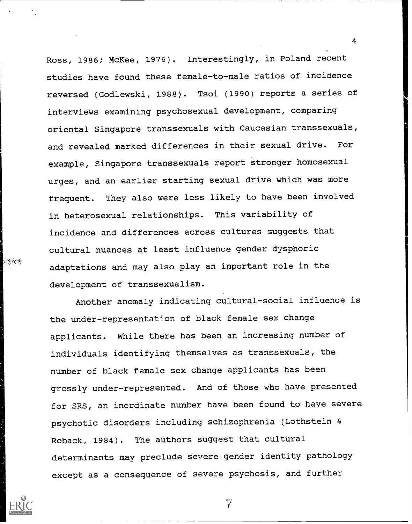Ross, 1986; McKee, 1976). Interestingly, in Poland recent studies have found these female-to-male ratios of incidence reversed (Godlewski, 1988). Tsoi (1990) reports a series of interviews examining psychosexual development, comparing oriental Singapore transsexuals with Caucasian transsexuals, and revealed marked differences in their sexual drive. For example, Singapore transsexuals report stronger homosexual urges, and an earlier starting sexual drive which was more frequent. They also were less likely to have been involved in heterosexual relationships. This variability of incidence and differences across cultures suggests that cultural nuances at least influence gender dysphoric adaptations and may also play an important role in the development of transsexualism.

Another anomaly indicating cultural-social influence is the under-representation of black female sex change applicants. While there has been an increasing number of individuals identifying themselves as transsexuals, the number of black female sex change applicants has been grossly under-represented. And of those who have presented for SRS, an inordinate number have been found to have severe psychotic disorders including schizophrenia (Lothstein & Roback, 1984). The authors suggest that cultural determinants may preclude severe gender identity pathology except as a consequence of severe psychosis, and further

4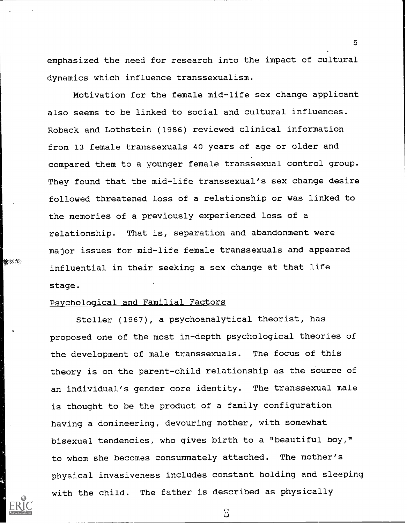emphasized the need for research into the impact of cultural dynamics which influence transsexualism.

Motivation for the female mid-life sex change applicant also seems to be linked to social and cultural influences. Roback and Lothstein (1986) reviewed clinical information from 13 female transsexuals 40 years of age or older and compared them to a younger female transsexual control group. They found that the mid-life transsexual's sex change desire followed threatened loss of a relationship or was linked to the memories of a previously experienced loss of a relationship. That is, separation and abandonment were major issues for mid-life female transsexuals and appeared influential in their seeking a sex change at that life stage.

#### Psychological and Familial Factors

**MARKET TO** 

Stoller (1967), a psychoanalytical theorist, has proposed one of the most in-depth psychological theories of the development of male transsexuals. The focus of this theory is on the parent-child relationship as the source of an individual's gender core identity. The transsexual male is thought to be the product of a family configuration having a domineering, devouring mother, with somewhat bisexual tendencies, who gives birth to a "beautiful boy," to whom she becomes consummately attached. The mother's physical invasiveness includes constant holding and sleeping with the child. The father is described as physically

ි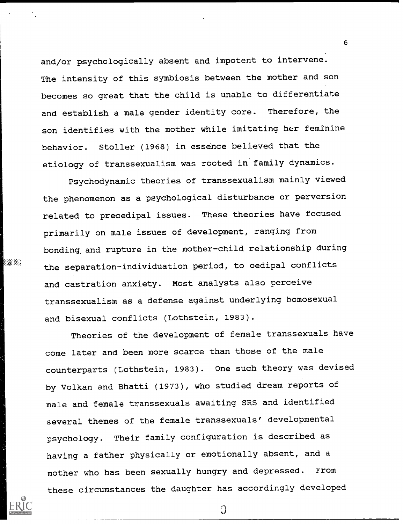and/or psychologically absent and impotent to intervene. The intensity of this symbiosis between the mother and son becomes so great that the child is unable to differentiate and establish a male gender identity core. Therefore, the son identifies with the mother while imitating her feminine behavior. Stoller (1968) in essence believed that the etiology of transsexualism was rooted in family dynamics.

Psychodynamic theories of transsexualism mainly viewed the phenomenon as a psychological disturbance or perversion related to preoedipal issues. These theories have focused primarily on male issues of development, ranging from bonding, and rupture in the mother-child relationship during the separation-individuation period, to oedipal conflicts and castration anxiety. Most analysts also perceive transsexualism as a defense against underlying homosexual and bisexual conflicts (Lothstein, 1983).

20.34

Theories of the development of female transsexuals have come later and been more scarce than those of the male counterparts (Lothstein, 1983). One such theory was devised by Volkan and Bhatti (1973), who studied dream reports of male and female transsexuals awaiting SRS and identified several themes of the female transsexuals' developmental psychology. Their family configuration is described as having a father physically or emotionally absent, and a mother who has been sexually hungry and depressed. From these circumstances the daughter has accordingly developed

 $\Omega$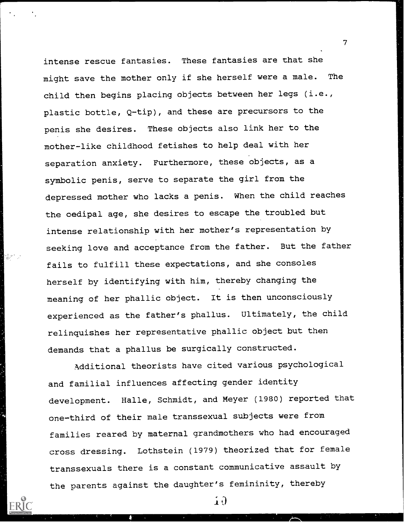intense rescue fantasies. These fantasies are that she might save the mother only if she herself were a male. The child then begins placing objects between her legs (i.e., plastic bottle, Q-tip), and these are precursors to the penis she desires. These objects also link her to the mother-like childhood fetishes to help deal with her separation anxiety. Furthermore, these objects, as a symbolic penis, serve to separate the girl from the depressed mother who lacks a penis. When the child reaches the oedipal age, she desires to escape the troubled but intense relationship with her mother's representation by seeking love and acceptance from the father. But the father fails to fulfill these expectations, and she consoles herself by identifying with him, thereby changing the meaning of her phallic object. It is then unconsciously experienced as the father's phallus. Ultimately, the child relinquishes her representative phallic object but then demands that a phallus be surgically constructed.

Additional theorists have cited various psychological and familial influences affecting gender identity development. Halle, Schmidt, and Meyer (1980) reported that one-third of their male transsexual subjects were from families reared by maternal grandmothers who had encouraged cross dressing. Lothstein (1979) theorized that for female transsexuals there is a constant communicative assault by the parents against the daughter's femininity, thereby

 $\mathbf{1} \mathbf{0}$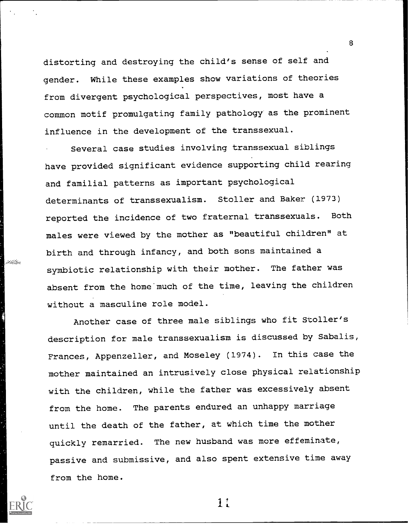distorting and destroying the child's sense of self and gender. While these examples show variations of theories from divergent psychological perspectives, most have a common motif promulgating family pathology as the prominent influence in the development of the transsexual.

8

Several case studies involving transsexual siblings have provided significant evidence supporting child rearing and familial patterns as important psychological determinants of transsexualism. Stoller and Baker (1973) reported the incidence of two fraternal transsexuals. Both males were viewed by the mother as "beautiful children" at birth and through infancy, and both sons maintained a symbiotic relationship with their mother. The father was absent from the home much of the time, leaving the children without a masculine role model.

. millik

Another case of three male siblings who fit Stoller's description for male transsexualism is discussed by Sabalis, Frances, Appenzeller, and Moseley (1974). In this case the mother maintained an intrusively close physical relationship with the children, while the father was excessively absent from the home. The parents endured an unhappy marriage until the death of the father, at which time the mother quickly remarried. The new husband was more effeminate, passive and submissive, and also spent extensive time away from the home.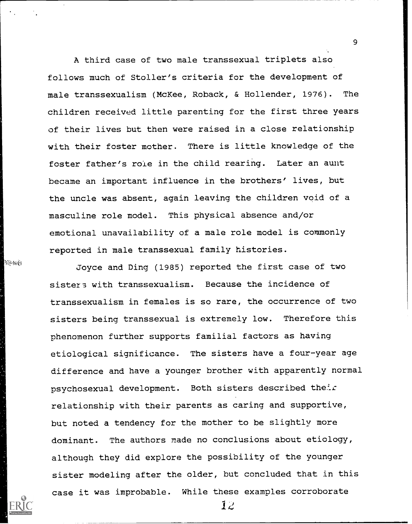A third case of two male transsexual triplets also follows much of Stoller's criteria for the development of male transsexualism (McKee, Roback, & Hollender, 1976). The children received little parenting for the first three years of their lives but then were raised in a close relationship with their foster mother. There is little knowledge of the foster father's role in the child rearing. Later an aunt became an important influence in the brothers' lives, but the uncle was absent, again leaving the children void of a masculine role model. This physical absence and/or emotional unavailability of a male role model is commonly reported in male transsexual family histories.

hannais

Joyce and Ding (1985) reported the first case of two sisters with transsexualism. Because the incidence of transsexualism in females is so rare, the occurrence of two sisters being transsexual is extremely low. Therefore this phenomenon further supports familial factors as having etiological significance. The sisters have a four-year age difference and have a younger brother with apparently normal psychosexual development. Both sisters described their relationship with their parents as caring and supportive, but noted a tendency for the mother to be slightly more dominant. The authors made no conclusions about etiology, although they did explore the possibility of the younger sister modeling after the older, but concluded that in this case it was improbable. While these examples corroborate

 $12$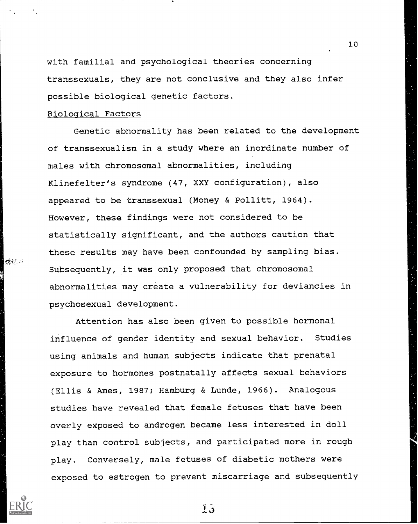with familial and psychological theories concerning transsexuals, they are not conclusive and they also infer possible biological genetic factors.

10

#### Biological Factors

理解的 15

Genetic abnormality has been related to the development of transsexualism in a study where an inordinate number of males with chromosomal abnormalities, including Klinefelter's syndrome (47, XXY configuration), also appeared to be transsexual (Money & Pollitt, 1964). However, these findings were not considered to be statistically significant, and the authors caution that these results may have been confounded by sampling bias. Subsequently, it was only proposed that chromosomal abnormalities may create a vulnerability for deviancies in psychosexual development.

Attention has also been given to possible hormonal influence of gender identity and sexual behavior. Studies using animals and human subjects indicate that prenatal exposure to hormones postnatally affects sexual behaviors (Ellis & Ames, 1987; Hamburg & Lunde, 1966). Analogous studies have revealed that female fetuses that have been overly exposed to androgen became less interested in doll play than control subjects, and participated more in rough play. Conversely, male fetuses of diabetic mothers were exposed to estrogen to prevent miscarriage and subsequently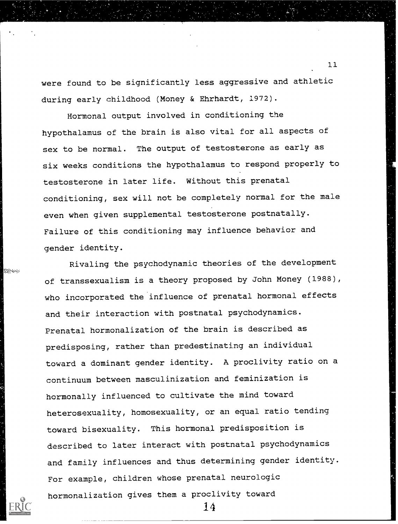were found to be significantly less aggressive and athletic during early childhood (Money & Ehrhardt, 1972).

Hormonal output involved in conditioning the hypothalamus of the brain is also vital for all aspects of sex to be normal. The output of testosterone as early as six weeks conditions the hypothalamus to respond properly to testosterone in later life. Without this prenatal conditioning, sex will not be completely normal for the male even when given supplemental testosterone postnatally. Failure of this conditioning may influence behavior and gender identity.

Rivaling the psychodynamic theories of the development of transsexualism is a theory proposed by John Money (1988), who incorporated the influence of prenatal hormonal effects and their interaction with postnatal psychodynamics. Prenatal hormonalization of the brain is described as predisposing, rather than predestinating an individual toward a dominant gender identity. A proclivity ratio on a continuum between masculinization and feminization is hormonally influenced to cultivate the mind toward heterosexuality, homosexuality, or an equal ratio tending toward bisexuality. This hormonal predisposition is described to later interact with postnatal psychodynamics and family influences and thus determining gender identity. For example, children whose prenatal neurologic hormonalization gives them a proclivity toward

14



tigh any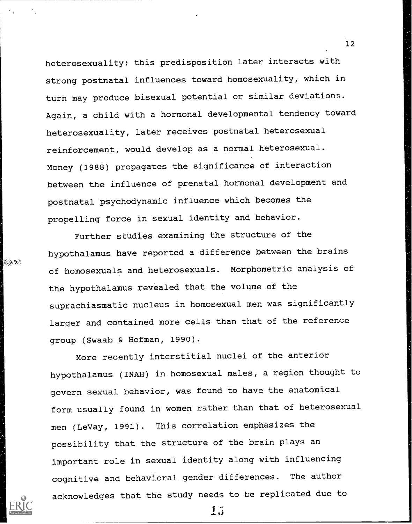heterosexuality; this predisposition later interacts with strong postnatal influences toward homosexuality, which in turn may produce bisexual potential or similar deviations. Again, a child with a hormonal developmental tendency toward heterosexuality, later receives postnatal heterosexual reinforcement, would develop as a normal heterosexual. Money (3988) propagates the significance of interaction between the influence of prenatal hormonal development and postnatal psychodynamic influence which becomes the propelling force in sexual identity and behavior.

Further studies examining the structure of the hypothalamus have reported a difference between the brains of homosexuals and heterosexuals. Morphometric analysis of the hypothalamus revealed that the volume of the suprachiasmatic nucleus in homosexual men was significantly larger and contained more cells than that of the reference group (Swaab & Hofman, 1990).

alle en

More recently interstitial nuclei of the anterior hypothalamus (INAH) in homosexual males, a region thought to govern sexual behavior, was found to have the anatomical form usually found in women rather than that of heterosexual men (LeVay, 1991). This correlation emphasizes the possibility that the structure of the brain plays an important role in sexual identity along with influencing cognitive and behavioral gender differences. The author acknowledges that the study needs to be replicated due to

15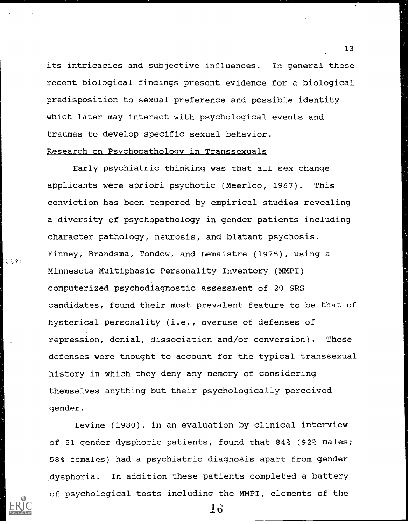its intricacies and subjective influences. In general these recent biological findings present evidence for a biological predisposition to sexual preference and possible identity which later may interact with psychological events and traumas to develop specific sexual behavior. Research on Psychopathology in Transsexuals

Early psychiatric thinking was that all sex change applicants were apriori psychotic (Meerloo, 1967). This conviction has been tempered by empirical studies revealing a diversity of psychopathology in gender patients including character pathology, neurosis, and blatant psychosis. Finney, Brandsma, Tondow, and Lemaistre (1975), using a Minnesota Multiphasic Personality Inventory (MMPI) computerized psychodiagnostic assessment of 20 SRS candidates, found their most prevalent feature to be that of hysterical personality (i.e., overuse of defenses of repression, denial, dissociation and/or conversion). These defenses were thought to account for the typical transsexual history in which they deny any memory of considering themselves anything but their psychologically perceived gender.

 $\mathbb{Z} \subset \mathbb{R}^N$ 

Levine (1980), in an evaluation by clinical interview of 51 gender dysphoric patients, found that 84% (92% males; 58% females) had a psychiatric diagnosis apart from gender dysphoria. In addition these patients completed a battery of psychological tests including the MMPI, elements of the

 $16$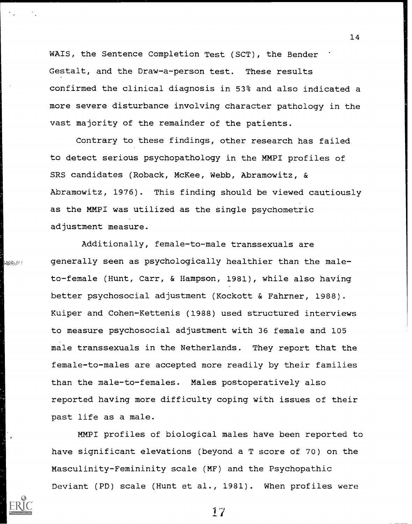WA1S, the Sentence Completion Test (SCT), the Bender Gestalt, and the Draw-a-person test. These results confirmed the clinical diagnosis in 53% and also indicated a more severe disturbance involving character pathology in the vast majority of the remainder of the patients.

14

Contrary to these findings, other research has failed to detect serious psychopathology in the MMPI profiles of SRS candidates (Roback, McKee, Webb, Abramowitz, & Abramowitz, 1976). This finding should be viewed cautiously as the MMP1 was utilized as the single psychometric adjustment measure.

Additionally, female-to-male transsexuals are generally seen as psychologically healthier than the maleto-female (Hunt, Carr, & Hampson, 1981), while also having better psychosocial adjustment (Kockott & Fahrner, 1988). Kuiper and Cohen-Kettenis (1988) used structured interviews to measure psychosocial adjustment with 36 female and 105 male transsexuals in the Netherlands. They report that the female-to-males are accepted more readily by their families than the male-to-females. Males postoperatively also reported having more difficulty coping with issues of their past life as a male.

anse et c

MMPI profiles of biological males have been reported to have significant elevations (beyond a T score of 70) on the Masculinity-Femininity scale (MF) and the Psychopathic Deviant (PD) scale (Hunt et al., 1981). When profiles were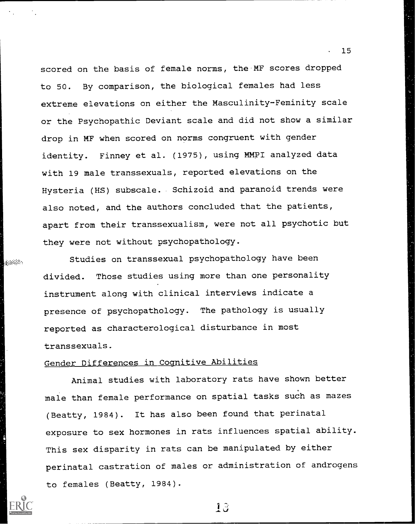scored on the basis of female norms, the MF scores dropped to 50. By comparison, the biological females had less extreme elevations on either the Masculinity-Feminity scale or the Psychopathic Deviant scale and did not show a similar drop in MF when scored on norms congruent with gender identity. Finney et al. (1975), using MMPI analyzed data with 19 male transsexuals, reported elevations on the Hysteria (HS) subscale. Schizoid and paranoid trends were also noted, and the authors concluded that the patients, apart from their transsexualism, were not all psychotic but they were not without psychopathology.

Studies on transsexual psychopathology have been divided. Those studies using more than one personality instrument along with clinical interviews indicate a presence of psychopathology. The pathology is usually reported as characterological disturbance in most transsexuals.

## Gender Differences in Cognitive Abilities

Animal studies with laboratory rats have shown better male than female performance on spatial tasks such as mazes (Beatty, 1984). It has also been found that perinatal exposure to sex hormones in rats influences spatial ability. This sex disparity in rats can be manipulated by either perinatal castration of males or administration of androgens to females (Beatty, 1984).

department

13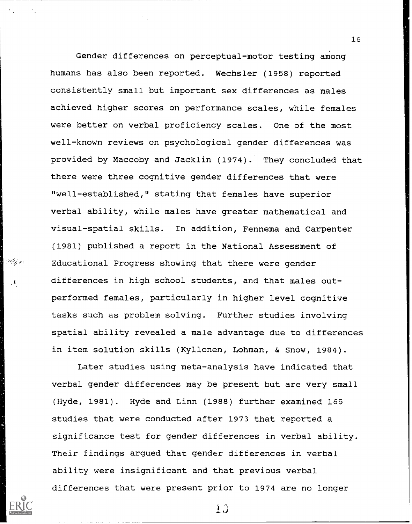Gender differences on perceptual-motor testing among humans has also been reported. Wechsler (1958) reported consistently small but important sex differences as males achieved higher scores on performance scales, while females were better on verbal proficiency scales. One of the most well-known reviews on psychological gender differences was provided by Maccoby and Jacklin (1974): They concluded that there were three cognitive gender differences that were "well-established," stating that females have superior verbal ability, while males have greater mathematical and visual-spatial skills. In addition, Fennema and Carpenter (1981) published a report in the National Assessment of Educational Progress showing that there were gender differences in high school students, and that males outperformed females, particularly in higher level cognitive tasks such as problem solving. Further studies involving spatial ability revealed a male advantage due to differences in item solution skills (Kyllonen, Lohman, & Snow, 1984).

 $\mathcal{O}(\mathbb{R}^2)$  and

Later studies using meta-analysis have indicated that verbal gender differences may be present but are very small (Hyde, 1981). Hyde and Linn (1988) further examined 165 studies that were conducted after 1973 that reported a significance test for gender differences in verbal ability. Their findings argued that gender differences in verbal ability were insignificant and that previous verbal differences that were present prior to 1974 are no longer

16

1.3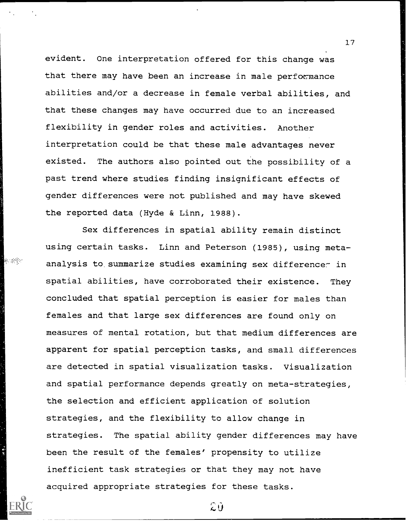evident. One interpretation offered for this change was that there may have been an increase in male performance abilities and/or a decrease in female verbal abilities, and that these changes may have occurred due to an increased flexibility in gender roles and activities. Another interpretation could be that these male advantages never existed. The authors also pointed out the possibility of a past trend where studies finding insignificant effects of gender differences were not published and may have skewed the reported data (Hyde & Linn, 1988).

17

Sex differences in spatial ability remain distinct using certain tasks. Linn and Peterson (1985), using metaanalysis to summarize studies examining sex difference in spatial abilities, have corroborated their existence. They concluded that spatial perception is easier for males than females and that large sex differences are found only on measures of mental rotation, but that medium differences are apparent for spatial perception tasks, and small differences are detected in spatial visualization tasks. Visualization and spatial performance depends greatly on meta-strategies, the selection and efficient application of solution strategies, and the flexibility to allow change in strategies. The spatial ability gender differences may have been the result of the females' propensity to utilize inefficient task strategies or that they may not have acquired appropriate strategies for these tasks.

e de la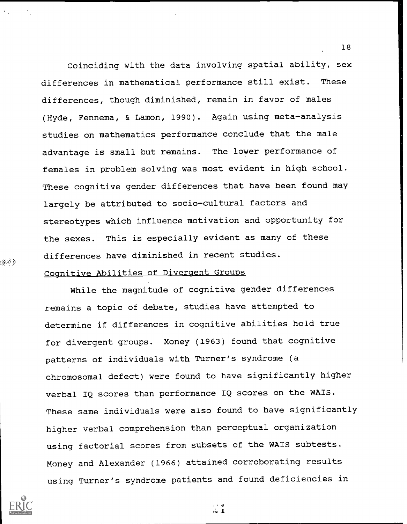Coinciding with the data involving spatial ability, sex differences in mathematical performance still exist. These differences, though diminished, remain in favor of males (Hyde, Fennema, & Lamon, 1990). Again using meta-analysis studies on mathematics performance conclude that the male advantage is small but remains. The lower performance of females in problem solving was most evident in high school. These cognitive gender differences that have been found may largely be attributed to socio-cultural factors and stereotypes which influence motivation and opportunity for the sexes. This is especially evident as many of these differences have diminished in recent studies.

#### Cognitive Abilities of Divergent Groups

While the magnitude of cognitive gender differences remains a topic of debate, studies have attempted to determine if differences in cognitive abilities hold true for divergent groups. Money (1963) found that cognitive patterns of individuals with Turner's syndrome (a chromosomal defect) were found to have significantly higher verbal IQ scores than performance IQ scores on the WAIS. These same individuals were also found to have significantly higher verbal comprehension than perceptual organization using factorial scores from subsets of the WAIS subtests. Money and Alexander (1966) attained corroborating results using Turner's syndrome patients and found deficiencies in

 $\sim 1$ 



alle de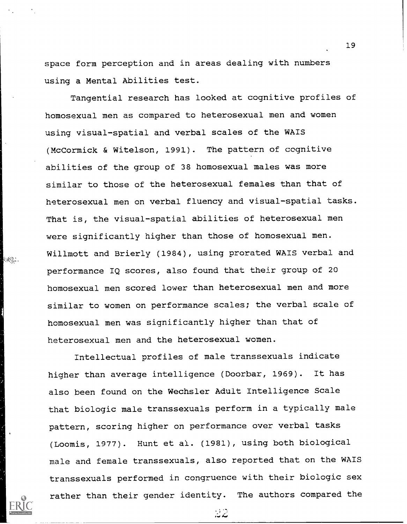space form perception and in areas dealing with numbers using a Mental Abilities test.

Tangential research has looked at cognitive profiles of homosexual men as compared to heterosexual men and women using visual-spatial and verbal scales of the WAIS (McCormick & Witelson, 1991). The pattern of cognitive abilities of the group of 38 homosexual males was more similar to those of the heterosexual females than that of heterosexual men on verbal fluency and visual-spatial tasks. That is, the visual-spatial abilities of heterosexual men were significantly higher than those of homosexual men. Willmott and Brierly (1984), using prorated WAIS verbal and performance IQ scores, also found that their group of 20 homosexual men scored lower than heterosexual men and more similar to women on performance scales; the verbal scale of homosexual men was significantly higher than that of heterosexual men and the heterosexual women.

 $\{ab\}_{ab}$  .

Intellectual profiles of male transsexuals indicate higher than average intelligence (Doorbar, 1969). It has also been found on the Wechsler Adult Intelligence Scale that biologic male transsexuals perform in a typically male pattern, scoring higher on performance over verbal tasks (Loomis, 1977). Hunt et al. (1981), using both biological male and female transsexuals, also reported that on the WAIS transsexuals performed in congruence with their biologic sex rather than their gender identity. The authors compared the

19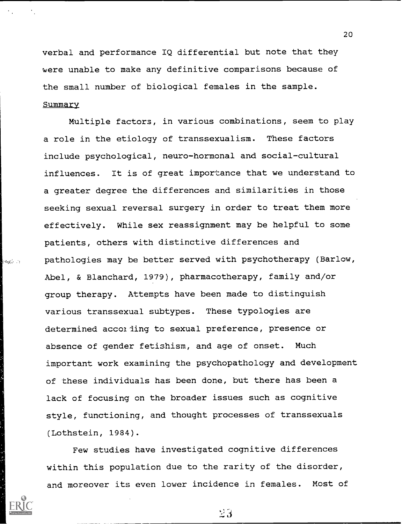verbal and performance IQ differential but note that they were unable to make any definitive comparisons because of the small number of biological females in the sample. Summary

Multiple factors, in various combinations, seem to play a role in the etiology of transsexualism. These factors include psychological, neuro-hormonal and social-cultural influences. It is of great importance that we understand to a greater degree the differences and similarities in those seeking sexual reversal surgery in order to treat them more effectively. While sex reassignment may be helpful to some patients, others with distinctive differences and pathologies may be better served with psychotherapy (Barlow, Abel, & Blanchard, 1979), pharmacotherapy, family and/or group therapy. Attempts have been made to distinguish various transsexual subtypes. These typologies are determined accolding to sexual preference, presence or absence of gender fetishism, and age of onset. Much important work examining the psychopathology and development of these individuals has been done, but there has been a lack of focusing on the broader issues such as cognitive style, functioning, and thought processes of transsexuals (Lothstein, 1984).

**Page 21** 

Few studies have investigated cognitive differences within this population due to the rarity of the disorder, and moreover its even lower incidence in females. Most of

20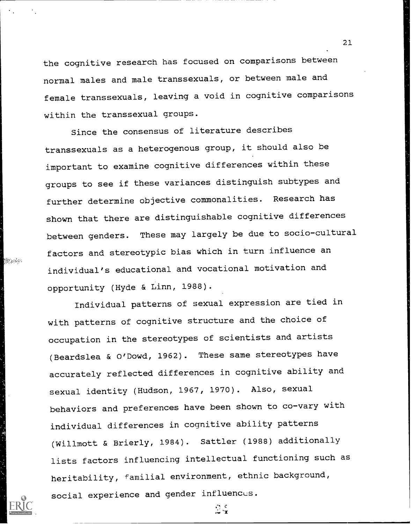the cognitive research has focused on comparisons between normal males and male transsexuals, or between male and female transsexuals, leaving a void in cognitive comparisons within the transsexual groups.

Since the consensus of literature describes transsexuals as a heterogenous group, it should also be important to examine cognitive differences within these groups to see if these variances distinguish subtypes and further determine objective commonalities. Research has shown that there are distinguishable cognitive differences between genders. These may largely be due to socio-cultural factors and stereotypic bias which in turn influence an individual's educational and vocational motivation and opportunity (Hyde & Linn, 1988).

een de l

Individual patterns of sexual expression are tied in with patterns of cognitive structure and the choice of occupation in the stereotypes of scientists and artists (Beardslea & O'Dowd, 1962). These same stereotypes have accurately reflected differences in cognitive ability and sexual identity (Hudson, 1967, 1970). Also, sexual behaviors and preferences have been shown to co-vary with individual differences in cognitive ability patterns (Willmott & Brierly, 1984). Sattler (1988) additionally lists factors influencing intellectual functioning such as heritability, familial environment, ethnic background, social experience and gender influences.

 $2.5$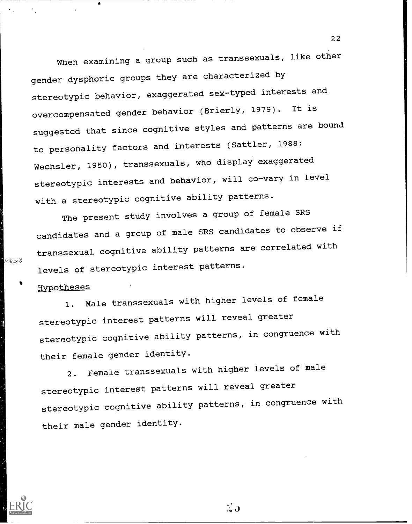When examining a group such as transsexuals, like other gender dysphoric groups they are characterized by stereotypic behavior, exaggerated sex-typed interests and overcompensated gender behavior (Brierly, 1979). It is suggested that since cognitive styles and patterns are bound to personality factors and interests (Sattler, 1988; Wechsler, 1950), transsexuals, who display exaggerated stereotypic interests and behavior, will co-vary in level with a stereotypic cognitive ability patterns.

The present study involves a group of female SRS candidates and a group of male SRS candidates to observe if transsexual cognitive ability patterns are correlated with levels of stereotypic interest patterns.

#### Hypotheses

Albania

1. Male transsexuals with higher levels of female stereotypic interest patterns will reveal greater stereotypic cognitive ability patterns, in congruence with their female gender identity.

2. Female transsexuals with higher levels of male stereotypic interest patterns will reveal greater stereotypic cognitive ability patterns, in congruence with their male gender identity.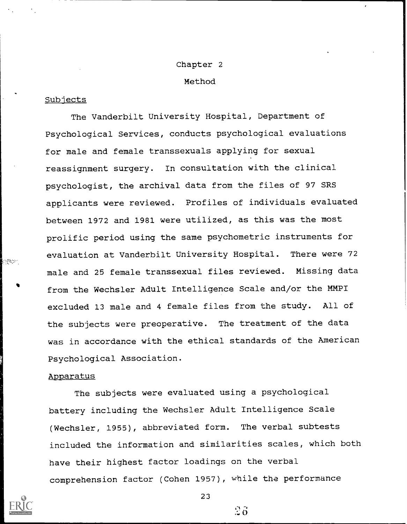#### Chapter 2

#### Method

#### **Subjects**

The Vanderbilt University Hospital, Department of Psychological Services, conducts psychological evaluations for male and female transsexuals applying for sexual reassignment surgery. In consultation with the clinical psychologist, the archival data from the files of 97 SRS applicants were reviewed. Profiles of individuals evaluated between 1972 and 1981 were utilized, as this was the most prolific period using the same psychometric instruments for evaluation at Vanderbilt University Hospital. There were 72 male and 25 female transsexual files reviewed. Missing data from the Wechsler Adult Intelligence Scale and/or the MMPI excluded 13 male and 4 female files from the study. All of the subjects were preoperative. The treatment of the data was in accordance with the ethical standards of the American Psychological Association.

#### Apparatus

The subjects were evaluated using a psychological battery including the Wechsler Adult Intelligence Scale (Wechsler, 1955), abbreviated form. The verbal subtests included the information and similarities scales, which both have their highest factor loadings on the verbal comprehension factor (Cohen 1957), while the performance



**L**egene

23

 $2\delta$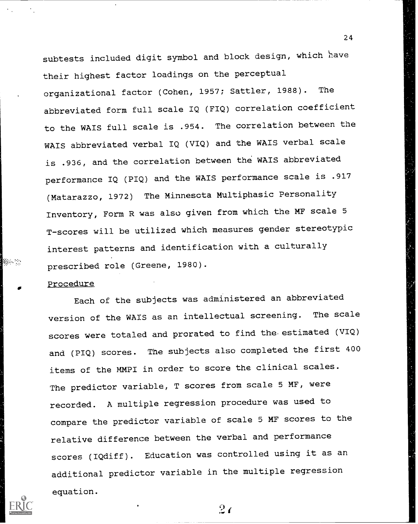subtests included digit symbol and block design, which have their highest factor loadings on the perceptual organizational factor (Cohen, 1957; Sattler, 1988). The abbreviated form full scale IQ (FIQ) correlation coefficient to the WAIS full scale is .954. The correlation between the WAIS abbreviated verbal IQ (VIQ) and the WAIS verbal scale is .936, and the correlation between the WAIS abbreviated performance IQ (PIQ) and the WAIS performance scale is .917 (Matarazzo, 1972) The Minnesota Multiphasic Personality Inventory, Form R was also given from which the MF scale 5 T-scores will be utilized which measures gender stereotypic interest patterns and identification with a culturally prescribed role (Greene, 1980).

24

#### Procedure

Niger :

Each of the subjects was administered an abbreviated version of the WAIS as an intellectual screening. The scale scores were totaled and prorated to find the-estimated (VIQ) and (PIQ) scores. The subjects also completed the first 400 items of the MMPI in order to score the clinical scales. The predictor variable, T scores from scale 5 MF, were recorded. A multiple regression procedure was used to compare the predictor variable of scale 5 MF scores to the relative difference between the verbal and performance scores (IQdiff). Education was controlled using it as an additional predictor variable in the multiple regression equation.

 $2\epsilon$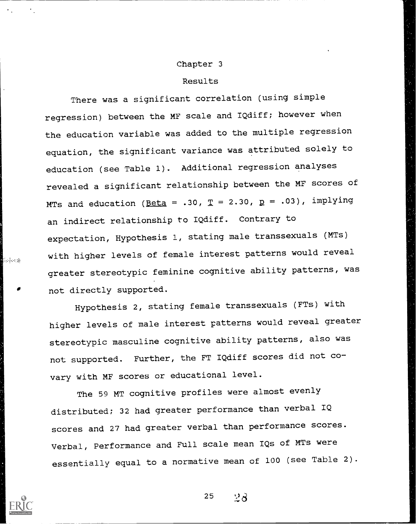#### Chapter 3

#### Results

There was a significant correlation (using simple regression) between the MF scale and IQdiff; however when the education variable was added to the multiple regression equation, the significant variance was attributed solely to education (see Table 1). Additional regression analyses revealed a significant relationship between the MF scores of MTs and education ( $\text{Beta} = .30$ ,  $\text{T} = 2.30$ ,  $\text{p} = .03$ ), implying an indirect relationship to IQdiff. Contrary to expectation, Hypothesis 1, stating male transsexuals (MTs) with higher levels of female interest patterns would reveal greater stereotypic feminine cognitive ability patterns, was not directly supported.

 $\left\langle \ldots \right\rangle$  ,  $\left\langle \ldots \right\rangle$ 

Hypothesis 2, stating female transsexuals (FTs) with higher levels of male interest patterns would reveal greater stereotypic masculine cognitive ability patterns, also was not supported. Further, the FT IQdiff scores did not covary with MF scores or educational level.

The 59 MT cognitive profiles were almost evenly distributed; 32 had greater performance than verbal IQ scores and 27 had greater verbal than performance scores. Verbal, Performance and Full scale mean IQs of MTs were essentially equal to a normative mean of 100 (see Table 2).

 $25 \frac{1}{28}$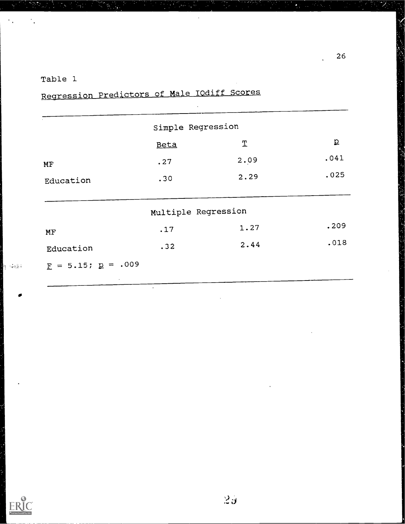## Table 1

 $\ddot{\phantom{0}}$  .

h<sub>i</sub> sala

E.

|                                              | Simple Regression   |               |                |
|----------------------------------------------|---------------------|---------------|----------------|
|                                              | Beta                | $\mathfrak T$ | $\overline{p}$ |
| MF                                           | .27                 | 2.09          | .041           |
| Education                                    | .30                 | 2.29          | .025           |
|                                              |                     |               |                |
|                                              | Multiple Regression |               |                |
| MF                                           | .17                 | 1.27          | .209           |
| Education                                    | .32                 | 2.44          | .018           |
| $\underline{F} = 5.15; \underline{p} = .009$ |                     |               |                |

Regression Predictors of Male IOdiff Scores

7,

 $\overline{\mathscr{S}}$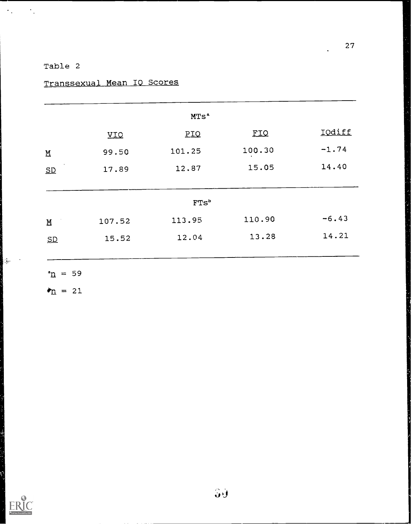## Table 2

 $\langle \sigma_{\rm s} \rangle = \sigma_{\rm s}$ 

## Transsexual Mean IO Scores

|                         |        | MTS <sup>a</sup> |            |         |
|-------------------------|--------|------------------|------------|---------|
|                         | VIQ    | <b>PIQ</b>       | <b>FIQ</b> | IOdiff  |
| $\overline{\mathbf{M}}$ | 99.50  | 101.25           | 100.30     | $-1.74$ |
| SD                      | 17.89  | 12.87            | 15.05      | 14.40   |
|                         |        |                  |            |         |
|                         |        | FTs <sup>b</sup> |            |         |
| $\overline{\mathbf{M}}$ | 107.52 | 113.95           | 110.90     | $-6.43$ |
| SD                      | 15.52  | 12.04            | 13.28      | 14.21   |
|                         |        |                  |            |         |

 $n = 59$ 

 $\frac{1}{2} \frac{1}{2} \frac{1}{2} \frac{1}{2} \frac{1}{2} \frac{1}{2} \frac{1}{2} \frac{1}{2} \frac{1}{2} \frac{1}{2} \frac{1}{2} \frac{1}{2} \frac{1}{2} \frac{1}{2} \frac{1}{2} \frac{1}{2} \frac{1}{2} \frac{1}{2} \frac{1}{2} \frac{1}{2} \frac{1}{2} \frac{1}{2} \frac{1}{2} \frac{1}{2} \frac{1}{2} \frac{1}{2} \frac{1}{2} \frac{1}{2} \frac{1}{2} \frac{1}{2} \frac{1}{2} \frac{$ 

EF

 $\bullet_{\underline{n}} = 21$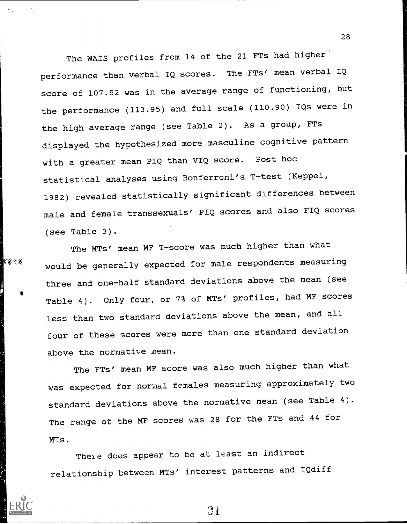The WAIS profiles from 14 of the 21 FTs had higher performance than verbal IQ scores. The FTs' mean verbal IQ score of 107.52 was in the average range of functioning, but the performance (113.95) and full scale (110.90) IQs were in the high average range (see Table 2). As a group, FTs displayed the hypothesized more masculine cognitive pattern with a greater mean PIQ than VIQ score. 'Post hoc statistical analyses using Bonferroni's T-test (Keppel, 1982) revealed statistically significant differences between male and female transsexuals' PIQ scores and also FIQ scores (see Table 3).

The MTs' mean MF T-score was much higher than what would be generally expected for male respondents measuring three and one-half standard deviations above the mean (see Table 4). Only four, or 7% of MTs' profiles, had MF scores less than two standard deviations above the mean, and all four of these scores were more than one standard deviation above the normative mean.

188999

The FTs' mean MF score was also much higher than what was expected for normal females measuring approximately two standard deviations above the normative mean (see Table 4). The range of the MF scores was 28 for the FTs and 44 for MTs.

There does appear to be at least an indirect relationship between MTs' interest patterns and IQdiff 28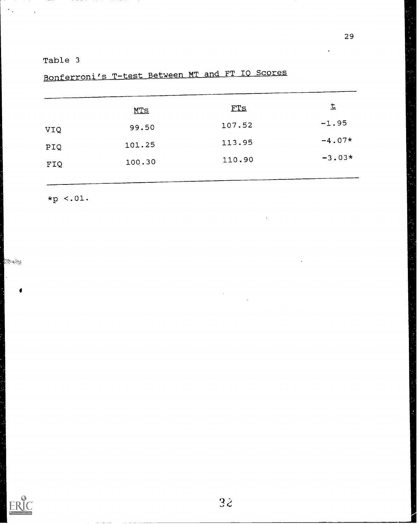Table 3

# Bonferroni's T-test Between MT and FT 10 Scores

|     | <u>MTS</u> | FTS    | 圡        |  |
|-----|------------|--------|----------|--|
| VIQ | 99.50      | 107.52 | $-1.95$  |  |
| PIQ | 101.25     | 113.95 | $-4.07*$ |  |
| FIQ | 100.30     | 110.90 | $-3.03*$ |  |

\*p <.01.

 $\langle \hat{z}^{\dagger} \hat{z}^{\dagger} \hat{z}^{\dagger} \hat{z}^{\dagger} \hat{z}^{\dagger} \hat{z}^{\dagger} \rangle$ 

 $\epsilon_{\rm in}$ 

 $\sim$   $\sim$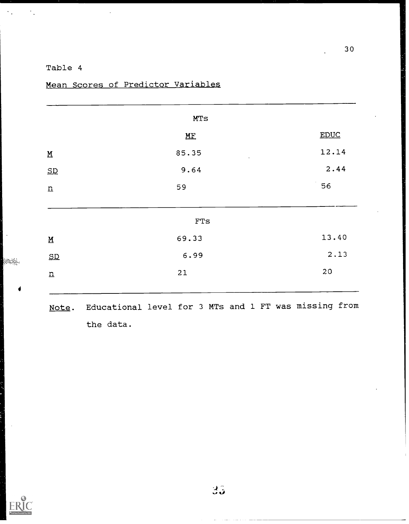### Table 4

 $\langle \sigma_{\rm{eff}} \rangle = \sigma_{\rm{eff}}$ 

 $\bar{\phantom{a}}$ 

**BBONE** 

|                                      | MTS            |             |
|--------------------------------------|----------------|-------------|
|                                      | M <sub>F</sub> | <b>EDUC</b> |
| $\underline{\underline{\mathsf{M}}}$ | 85.35          | 12.14       |
| SD                                   | 9.64           | 2.44        |
| $\underline{n}$                      | 59             | 56          |
|                                      |                |             |
|                                      | ${\rm FTs}$    |             |
| $\overline{\mathbf{M}}$              | 69.33          | 13.40       |
| SD                                   | 6.99           | 2.13        |
|                                      | $21$           | $20\,$      |

Mean Scores of Predictor Variables

Note. Educational level for 3 MTs and 1 FT was missing from the data.

 $\ddot{\phantom{a}}$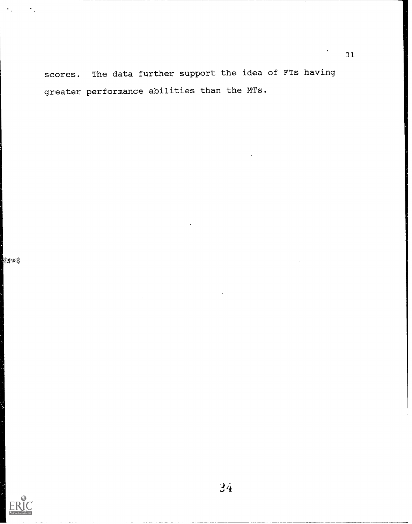scores. The data further support the idea of FTs having greater performance abilities than the MTs.

**Records**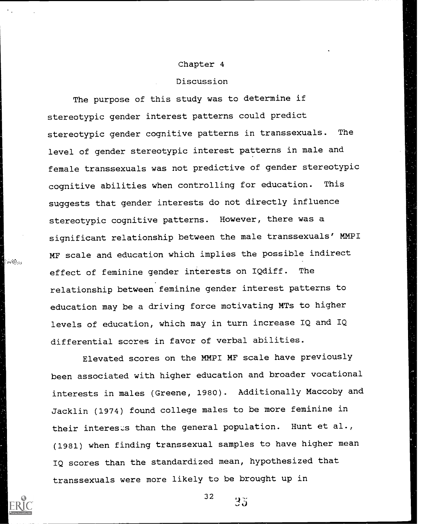#### Chapter 4

#### Discussion

The purpose of this study was to determine if stereotypic gender interest patterns could predict stereotypic gender cognitive patterns in transsexuals. The level of gender stereotypic interest patterns in male and female transsexuals was not predictive of gender stereotypic cognitive abilities when controlling for education. This suggests that gender interests do not directly influence stereotypic cognitive patterns. However, there was a significant relationship between the male transsexuals' MMPI MF scale and education which implies the possible indirect effect of feminine gender interests on IQdiff. The relationship between feminine gender interest patterns to education may be a driving force motivating MTs to higher levels of education, which may in turn increase IQ and IQ differential scores in favor of verbal abilities.

Elevated scores on the MMPI MF scale have previously been associated with higher education and broader vocational interests in males (Greene, 1980). Additionally Maccoby and Jacklin (1974) found college males to be more feminine in their intereses than the general population. Hunt et al., (1981) when finding transsexual samples to have higher mean IQ scores than the standardized mean, hypothesized that transsexuals were more likely to be brought up in

32



 $\sim 10^{10}$  and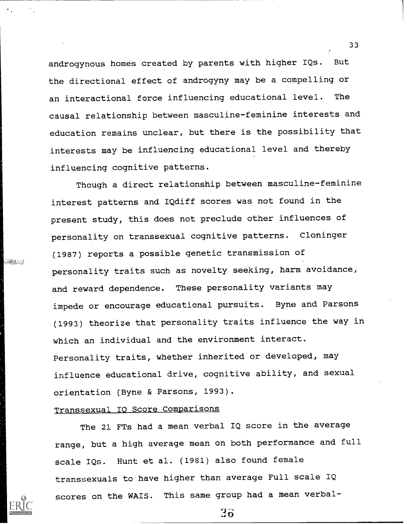androgynous homes created by parents with higher IQs. But the directional effect of androgyny may be a compelling or an interactional force influencing educational level. The causal relationship between masculine-feminine interests and education remains unclear, but there is the possibility that interests may be influencing educational level and thereby influencing cognitive patterns.

Though a direct relationship between masculine-feminine interest patterns and IQdiff scores was not found in the present study, this does not preclude other influences of personality on transsexual cognitive patterns. Cloninger (1987) reports a possible genetic transmission of personality traits such as novelty seeking, harm avoidance, and reward dependence. These personality variants may impede or encourage educational pursuits. Byne and Parsons (1993) theorize that personality traits influence the way in which an individual and the environment interact. Personality traits, whether inherited or developed, may influence educational drive, cognitive ability, and sexual orientation (Byne & Parsons, 1993).

#### Transsexual IO Score Comparisons

**Gaen**stal

The 21 FTs had a mean verbal IQ score in the average range, but a high average mean on both performance and full scale IQs. Hunt et al. (1981) also found female transsexuals to have higher than average Full scale IQ scores on the WAIS. This same group had a mean verbal-

33

 $3\ddot{\sigma}$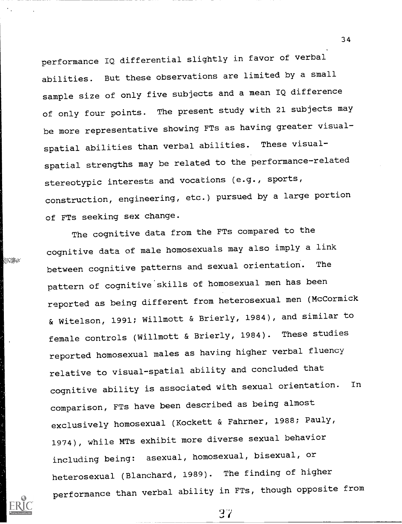performance IQ differential slightly in favor of verbal abilities. But these observations are limited by a small sample size of only five subjects and a mean IQ difference of only four points. The present study with 21 subjects may be more representative showing FTs as having greater visualspatial abilities than verbal abilities. These visualspatial strengths may be related to the performance-related stereotypic interests and vocations (e.g., sports, construction, engineering, etc.) pursued by a large portion of FTs seeking sex change.

**SESSION** 

34

The cognitive data from the FTs compared to the cognitive data of male homosexuals may also imply a link between cognitive patterns and sexual orientation. The pattern of cognitive skills of homosexual men has been reported as being different from heterosexual men (McCormick & Witelson, 1991; Willmott & Brierly, 1984), and similar to female controls (Willmott & Brierly, 1984). These studies reported homosexual males as having higher verbal fluency relative to visual-spatial ability and concluded that cognitive ability is associated with sexual orientation. In comparison, FTs have been described as being almost exclusively homosexual (Kockett & Fahrner, 1988; Pauly, 1974), while MTs exhibit more diverse sexual behavior including being: asexual, homosexual, bisexual, or heterosexual (Blanchard, 1989). The finding of higher performance than verbal ability in FTs, though opposite from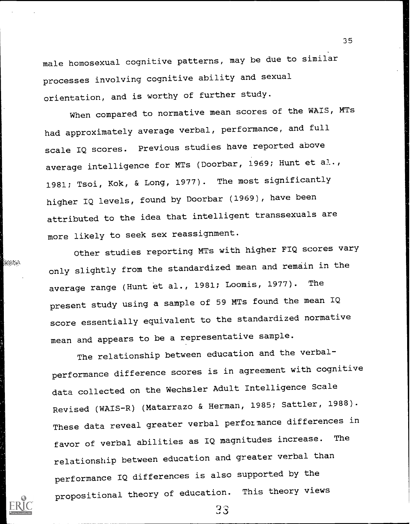male homosexual cognitive patterns, may be due to similar processes involving cognitive ability and sexual orientation, and is worthy of further study.

3 5

When compared to normative mean scores of the WAIS, MTs had approximately average verbal, performance, and full scale IQ scores. Previous studies have reported above average intelligence for MTs (Doorbar, 1969; Hunt et al., 1981; Tsoi, Kok, & Long, 1977). The most significantly higher IQ levels, found by Doorbar (1969), have been attributed to the idea that intelligent transsexuals are more likely to seek sex reassignment.

Other studies reporting MTs with higher FIQ scores vary only slightly from the standardized mean and remain in the average range (Hunt et al., 1981; Loomis, 1977). The present study using a sample of 59 MTs found the mean IQ score essentially equivalent to the standardized normative mean and appears to be a representative sample.

**SEBSON** 

The relationship between education and the verbalperformance difference scores is in agreement with cognitive data collected on the Wechsler Adult Intelligence Scale Revised (WAIS-R) (Matarrazo & Herman, 1985; Sattler, 1988). These data reveal greater verbal performance differences in favor of verbal abilities as IQ magnitudes increase. The relationship between education and greater verbal than performance IQ differences is also supported by the propositional theory of education. This theory views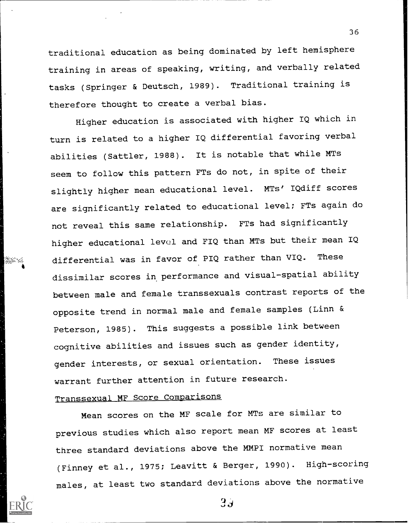traditional education as being dominated by left hemisphere training in areas of speaking, writing, and verbally related tasks (Springer & Deutsch, 1989). Traditional training is therefore thought to create a verbal bias.

Higher education is associated with higher IQ which in turn is related to a higher IQ differential favoring verbal abilities (Sattler, 1988). It is notable that while MTs seem to follow this pattern FTs do not, in spite of their slightly higher mean educational level. MTs' IQdiff scores are significantly related to educational level; FTs again do not reveal this same relationship. FTs had significantly higher educational level and FIQ than MTs but their mean IQ differential was in favor of PIQ rather than VIQ. These dissimilar scores in performance and visual-spatial ability between male and female transsexuals contrast reports of the opposite trend in normal male and female samples (Linn & Peterson, 1985). This suggests a possible link between cognitive abilities and issues such as gender identity, gender interests, or sexual orientation. These issues warrant further attention in future research.

## Transsexual MF Score Comparisons

Mean scores on the MF scale for MTs are similar to previous studies which also report mean MF scores at least three standard deviations above the MMPI normative mean (Finney et al., 1975; Leavitt & Berger, 1990). High-scoring males, at least two standard deviations above the normative

36

 $3.3$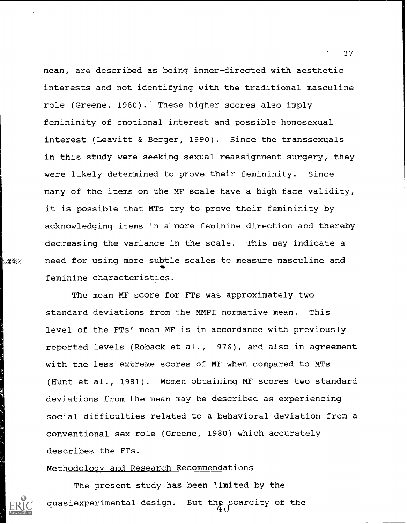mean, are described as being inner-directed with aesthetic interests and not identifying with the traditional masculine role (Greene, 1980). These higher scores also imply femininity of emotional interest and possible homosexual interest (Leavitt & Berger, 1990). Since the transsexuals in this study were seeking sexual reassignment surgery, they were likely determined to prove their femininity. Since many of the items on the MF scale have a high face validity, it is possible that MTs try to prove their femininity by acknowledging items in a more feminine direction and thereby decreasing the variance in the scale. This may indicate a need for using more subtle scales to measure masculine and feminine characteristics.

The mean MF score for FTs was approximately two standard deviations from the MMPI normative mean. This level of the FTs' mean MF is in accordance with previously reported levels (Roback et al., 1976), and also in agreement with the less extreme scores of MF when compared to MTs (Hunt et al., 1981). Women obtaining MF scores two standard deviations from the mean may be described as experiencing social difficulties related to a behavioral deviation from a conventional sex role (Greene, 1980) which accurately describes the FTs.

#### Methodology and Research Recommendations

**RANGES** 

The present study has been limited by the quasiexperimental design. But the scarcity of the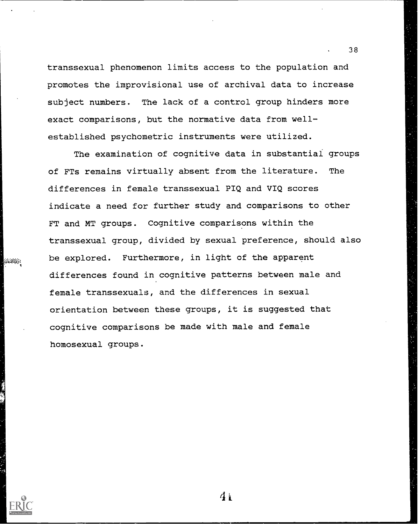transsexual phenomenon limits access to the population and promotes the improvisional use of archival data to increase subject numbers. The lack of a control group hinders more exact comparisons, but the normative data from wellestablished psychometric instruments were utilized.

The examination of cognitive data in substantiai groups of FTs remains virtually absent from the literature. The differences in female transsexual PIQ and VIQ scores indicate a need for further study and comparisons to other FT and MT groups. Cognitive comparisons within the transsexual group, divided by sexual preference, should also be explored. Furthermore, in light of the apparent differences found in cognitive patterns between male and female transsexuals, and the differences in sexual orientation between these groups, it is suggested that cognitive comparisons be made with male and female homosexual groups.

STREET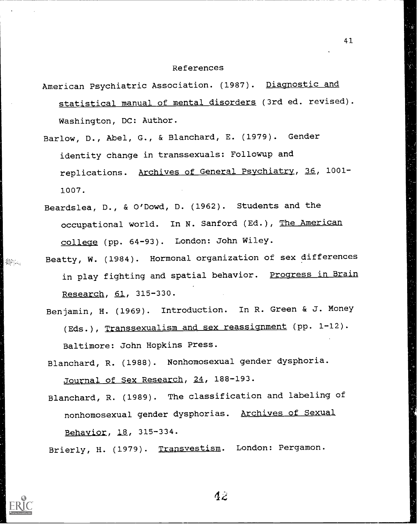#### References

41

- American Psychiatric Association. (1987). Diagnostic and statistical manual of mental disorders (3rd ed. revised). Washington, DC: Author.
- Barlow, D., Abel, G., & Blanchard, E. (1979). Gender identity change in transsexuals: Followup and replications. Archives of General Psychiatry, 36, 1001- 1007.
- Beardslea, D., & O'Dowd, D. (1962). Students and the occupational world. In N. Sanford (Ed.), The American college (pp. 64-93). London: John Wiley.

SSS .

- Beatty, W. (1984). Hormonal organization of sex differences in play fighting and spatial behavior. Progress in Brain Research, 61, 315-330.
	- Benjamin, H. (1969). Introduction. In R. Green & J. Money (Eds.), Transsexualism and sex reassignment (pp. 1-12). Baltimore: John Hopkins Press.
	- Blanchard, R. (1988). Nonhomosexual gender dysphoria. Journal of Sex Research, 24, 188-193.
	- Blanchard, R. (1989). The classification and labeling of nonhomosexual gender dysphorias. Archives of Sexual Behavior, 18, 315-334.

Brierly, H. (1979). Transvestism. London: Pergamon.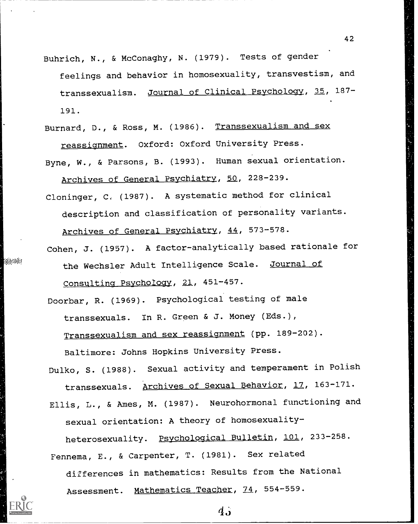Buhrich, N., & McConaghy, N. (1979). Tests of gender feelings and behavior in homosexuality, transvestism, and transsexualism. Journal of Clinical Psychology, 35, 187- 191.

42

- Burnard, D., & Ross, M. (1986). Transsexualism and sex reassignment. Oxford: Oxford University Press.
- Byne, W., & Parsons, B. (1993). Human sexual orientation. Archives of General Psychiatry, 50, 228-239.
- Cloninger, C, (1987). A systematic method for clinical description and classification of personality variants. Archives of General Psychiatry, 44, 573-578.
- Cohen, J. (1957). A factor-analytically based rationale for the Wechsler Adult Intelligence Scale. Journal of Consulting Psychology, 21, 451-457.

**Bala**saha

- Doorbar, R. (1969). Psychological testing of male transsexuals. In R. Green & J. Money (Eds.), Transsexualism and sex reassignment (pp. 189-202). Baltimore: Johns Hopkins University Press.
- Dulko, S. (1988). Sexual activity and temperament in Polish transsexuals. Archives of Sexual Behavior, 17, 163-171. Ellis, L., & Ames, M. (1987). Neurohormonal functioning and sexual orientation: A theory of homosexuality-

heterosexuality. Psychological Bulletin, 101, 233-258. Fennema, E., & Carpenter, T. (1981). Sex related differences in mathematics: Results from the National

Assessment. Mathematics Teacher, 74, 554-559.

 $\mathbf{d}$ .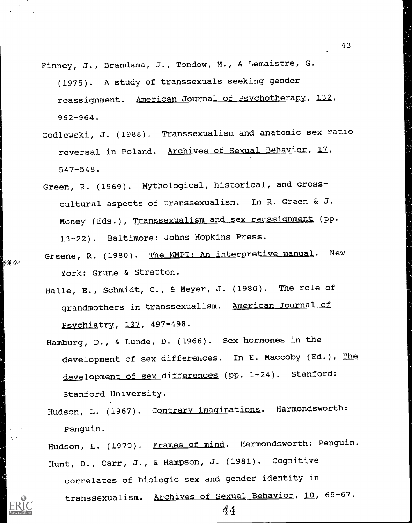- Finney, J., Brandsma, J., Tondow, M., & Lemaistre, G. (1975). A study of transsexuals seeking gender reassignment. American Journal of Psychotherapy, 132, 962-964.
- Godlewski, J. (1988). Transsexualism and anatomic sex ratio reversal in Poland. Archives of Sexual Behavior, 17, 547-548.
- Green, R. (1969). Mythological, historical, and crosscultural aspects of transsexualism. In R. Green & J. Money (Eds.), Transsexualism and sex reassignment (pp. 13-22). Baltimore: Johns Hopkins Press.
- Greene, R. (1980). The MMPI: An interpretive manual. New York: Grune & Stratton.
- Halle, E., Schmidt, C., & Meyer, J. (1980). The role of grandmothers in transsexualism. American Journal of Psychiatry, 137, 497-498.
- Hamburg, D., & Lunde, D. (1966). Sex hormones in the development of sex differences. In E. Maccoby (Ed.), The development of sex differences (pp. 1-24). Stanford: Stanford University.
- Hudson, L. (1967). Contrary imaginations. Harmondsworth: Penguin.

Hudson, L. (1970). Frames of mind. Harmondsworth: Penguin. Hunt, D., Carr, J., & Hampson, J. (1981). Cognitive

correlates of biologic sex and gender identity in transsexualism. Archives of Sexual Behavior, 10, 65-67.

43



98889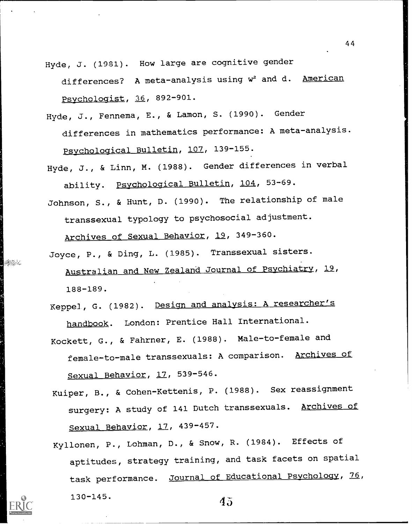- Hyde, J. (1981). How large are cognitive gender differences? A meta-analysis using w<sup>2</sup> and d. American Psychologist, 36, 892-901.
- Hyde, J., Fennema, E., & Lamon, S. (1990). Gender differences in mathematics performance: A meta-analysis. Psychological Bulletin, 107, 139-155.
- Hyde, J., & Linn, M. (1988). Gender differences in verbal ability. Psychological Bulletin, 104, 53-69.
- Johnson, S., & Hunt, D. (1990). The relationship of male transsexual typology to psychosocial adjustment.

Archives of Sexual Behavior, 19, 349-360.

**Bibliot** 

- Joyce, P., & Ding, L. (1985). Transsexual sisters. Australian and New Zealand Journal of Psychiatry, 19, 188-189.
- Neppel, G. (1982). Design and analysis: A researcher's handbook. London: Prentice Hall International.
- Kockett, G., & Fahrner, E. (1988). Male-to-female and female-to-male transsexuals: A comparison. Archives of Sexual Behavior, 17, 539-546.
- Kuiper, B., & Cohen-Kettenis, P. (1988). Sex reassignment surgery: A study of 141 Dutch transsexuals. Archives of Sexual Behavior, 17, 439-457.
- Kyllonen, P., Lohman, D., & Snow, R. (1984). Effects of aptitudes, strategy training, and task facets on spatial task performance. Journal of Educational Psychology, 76,  $130-145.$  45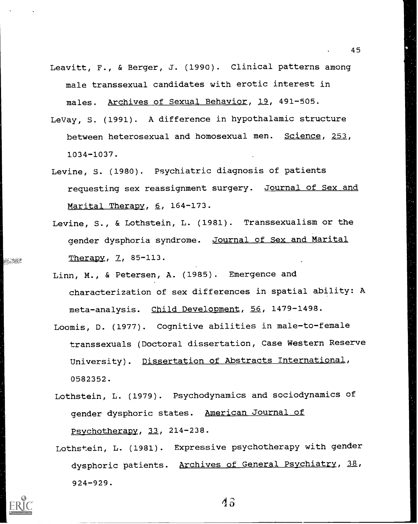- Leavitt, F., & Berger, J. (1990). Clinical patterns among male transsexual candidates with erotic interest in males. Archives of Sexual Behavior, 19, 491-505.
- LeVay, S. (1991). A difference in hypothalamic structure between heterosexual and homosexual men. Science, 253, 1034-1037.
- Levine, S. (1980). Psychiatric diagnosis of patients requesting sex reassignment surgery. Journal of Sex and Marital Therapy, 6, 164-173.
- Levine, S., & Lothstein, L. (1981). Transsexualism or the gender dysphoria syndrome. Journal of Sex and Marital Therapy, 7, 85-113.
- Linn, M., & Petersen, A. (1985). Emergence and characterization of sex differences in spatial ability: A meta-analysis. Child Development, 56, 1479-1498.
- Loomis, D. (1977). Cognitive abilities in male-to-female transsexuals (Doctoral dissertation, Case Western Reserve University). Dissertation of Abstracts International, 0582352.
- Lothstein, L. (1979). Psychodynamics and sociodynamics of gender dysphoric states. American Journal of Psychotherapy, 33, 214-238.
- Lothstein, L. (1981). Expressive psychotherapy with gender dysphoric patients. Archives of General Psychiatry, 38, 924-929.



en ani

43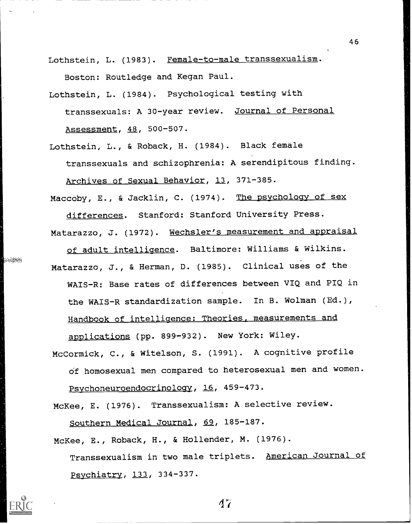Lothstein, L. (1983). Female-to-male transsexualism. Boston: Routledge and Kegan Paul.

- Lothstein, L. (1984). Psychological testing with transsexuals: A 30-year review. Journal of Personal Assessment, 48, 500-507.
- Lothstein, L., & Roback, H. (1984). Black female transsexuals and schizophrenia: A serendipitous finding. Archives of Sexual Behavior, 13, 371-385.

Maccoby, E., & Jacklin, C. (1974). The psychology of sex differences. Stanford: Stanford University Press.

Matarazzo, J. (1972). Wechsler's measurement and appraisal

of adult intelligence. Baltimore: Williams & Wilkins. Matarazzo, J., & Herman, D. (1985). Clinical uses of the WAIS-R: Base rates of differences between VIQ and PIQ in the WAIS-R standardization sample. In B. Wolman (Ed.), Handbook of intelligence: Theories, measurements and applications (pp. 899-932). New York: Wiley.

McCormick, C., & Witelson, S. (1991). A cognitive profile df homosexual men compared to heterosexual men and women. Psychoneuroendocrinology, 16, 459-473.

McKee, E. (1976). Transsexualism: A selective review.

Southern Medical Journal, 69, 185-187.

**Secretary** 

McKee, E., Roback, H., & Hollender, M. (1976).

Transsexualism in two male triplets. American Journal of Psychiatry, 133, 334-337.

 $d7$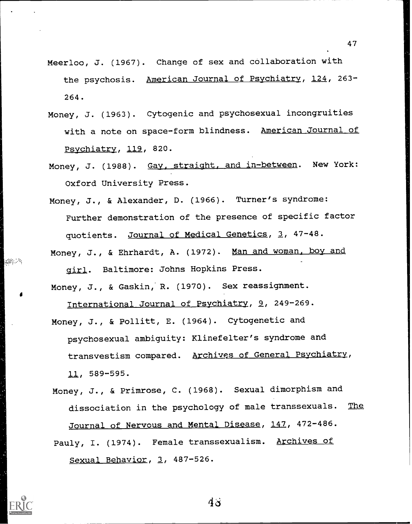- Meerloo, J. (1967). Change of sex and collaboration with the psychosis. American Journal of Psychiatry, 124, 263-264.
- Money, J. (1963). Cytogenic and psychosexual incongruities with a note on space-form blindness. American Journal of Psychiatry, 119, 820.
- Money, J. (1988). Gay, straight, and in-between. New York: Oxford University Press.
- Money, J., & Alexander, D. (1966). Turner's syndrome: Further demonstration of the presence of specific factor quotients. Journal of Medical Genetics, 3, 47-48. Money, J., & Ehrhardt, A. (1972). Man and woman, boy and

girl. Baltimore: Johns Hopkins Press.

Money, J., & Gaskin,' R. (1970). Sex reassignment.

International Journal of Psychiatry, 9, 249-269.

- Money, J., & Pollitt, E. (1964). Cytogenetic and psychosexual ambiguity: Klinefelter's syndrome and transvestism compared. Archives of General Psychiatry, 11, 589-595.
- Money, J., & Primrose, C. (1968). Sexual dimorphism and dissociation in the psychology of male transsexuals. The Journal of Nervous and Mental Disease, 147, 472-486. Pauly, I. (1974). Female transsexualism. Archives of Sexual Behavior, 3, 487-526.



高速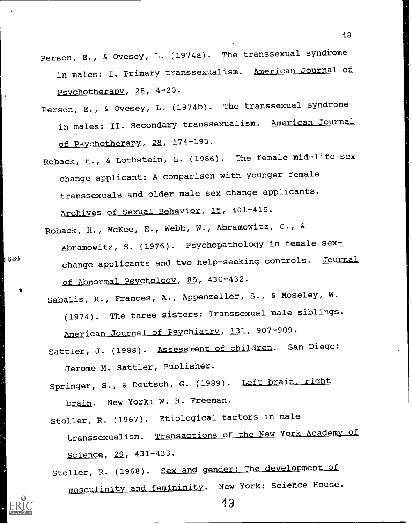- Person, E., & Ovesey, L. (1974a). The transsexual syndrome in males: I. Primary transsexualism. American Journal of Psychotherapy, 28, 4-20.
- Person, E., & Ovesey, L. (1974b). The transsexual syndrome in males: II. Secondary transsexualism. American Journal of Psychotherapy, 28, 174-193.
- Roback, H., & Lothstein, L. (1986). The female mid-life sex change applicant: A comparison with younger female transsexuals and older male sex change applicants. Archives of Sexual Behavior, 15, 401-415.
- Roback, H., McKee, E., Webb, W., Abramowitz, C., & Abramowitz, S. (1976). Psychopathology in female sexchange applicants and two help-seeking controls. Journal of Abnormal Psychology, 85, 430-432.

Sabalis, R., Frances, A., Appenzeller, S., & Moseley, W.

(1974). The three sisters: Transsexual male siblings. American Journal of Psychiatry, 131, 907-909.

Sattler, J. (1988). Assessment of children. San Diego: Jerome M. Sattler, Publisher.

Springer, S., & Deutsch, G. (1989). Left brain, right brain. New York: W. H. Freeman.

Stoller, R. (1967). Etiological factors in male transsexualism. Transactions of the New York Academy of Science, 29, 431-433.

Stoller, R. (1968). Sex and gender: The development of masculinity and femininity. New York: Science House.

880aCa

 $43$